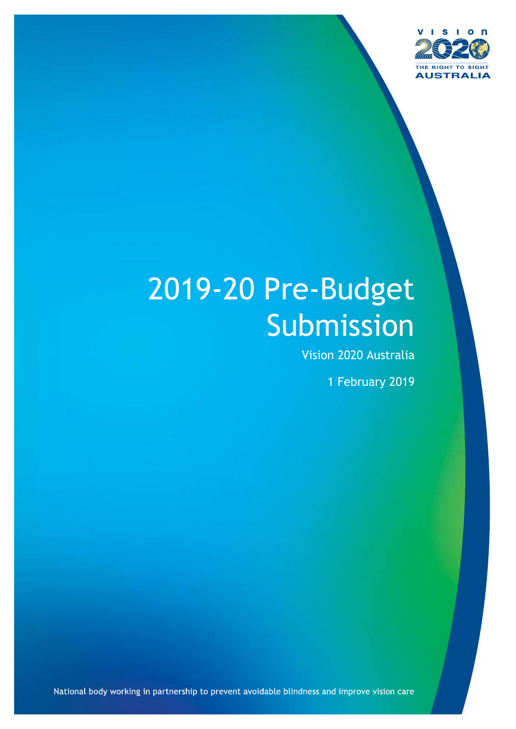

# 2019-20 Pre-Budget **Submission**

Vision 2020 Australia

1 February 2019

National body working in partnership to prevent avoidable blindness and improve vision care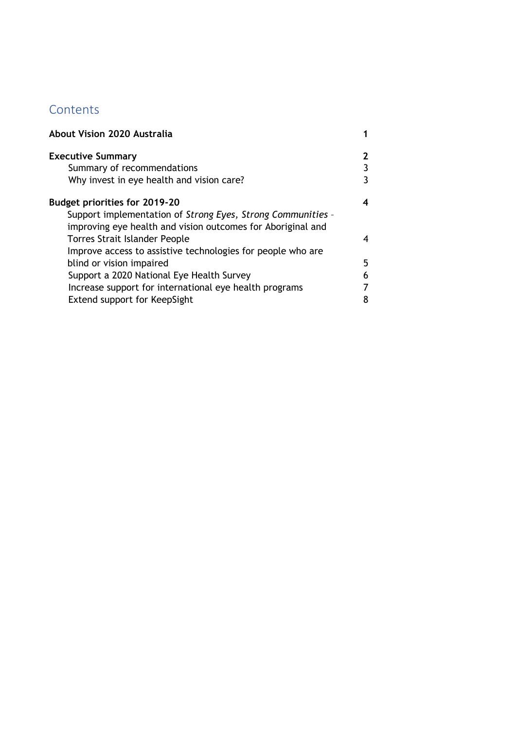# **Contents**

| About Vision 2020 Australia                                 |   |
|-------------------------------------------------------------|---|
| <b>Executive Summary</b>                                    |   |
| Summary of recommendations                                  |   |
| Why invest in eye health and vision care?                   |   |
| <b>Budget priorities for 2019-20</b>                        |   |
| Support implementation of Strong Eyes, Strong Communities - |   |
| improving eye health and vision outcomes for Aboriginal and |   |
| <b>Torres Strait Islander People</b>                        | 4 |
| Improve access to assistive technologies for people who are |   |
| blind or vision impaired                                    | 5 |
| Support a 2020 National Eye Health Survey                   |   |
| Increase support for international eye health programs      |   |
| Extend support for KeepSight                                |   |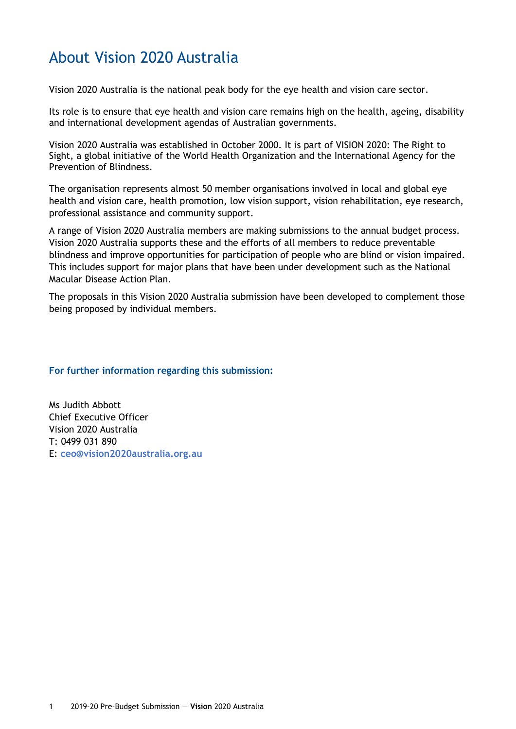# <span id="page-2-0"></span>About Vision 2020 Australia

Vision 2020 Australia is the national peak body for the eye health and vision care sector.

Its role is to ensure that eye health and vision care remains high on the health, ageing, disability and international development agendas of Australian governments.

Vision 2020 Australia was established in October 2000. It is part of VISION 2020: The Right to Sight, a global initiative of the World Health Organization and the International Agency for the Prevention of Blindness.

The organisation represents almost 50 member organisations involved in local and global eye health and vision care, health promotion, low vision support, vision rehabilitation, eye research, professional assistance and community support.

A range of Vision 2020 Australia members are making submissions to the annual budget process. Vision 2020 Australia supports these and the efforts of all members to reduce preventable blindness and improve opportunities for participation of people who are blind or vision impaired. This includes support for major plans that have been under development such as the National Macular Disease Action Plan.

The proposals in this Vision 2020 Australia submission have been developed to complement those being proposed by individual members.

#### **For further information regarding this submission:**

Ms Judith Abbott Chief Executive Officer Vision 2020 Australia T: 0499 031 890 E: **[ceo@vision2020australia.org.au](mailto:ceo@vision2020australia.org.au)**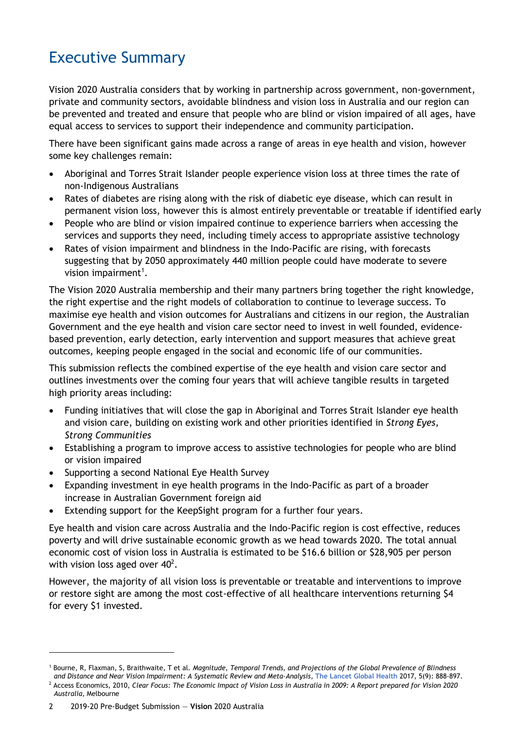# <span id="page-3-0"></span>Executive Summary

Vision 2020 Australia considers that by working in partnership across government, non-government, private and community sectors, avoidable blindness and vision loss in Australia and our region can be prevented and treated and ensure that people who are blind or vision impaired of all ages, have equal access to services to support their independence and community participation.

There have been significant gains made across a range of areas in eye health and vision, however some key challenges remain:

- Aboriginal and Torres Strait Islander people experience vision loss at three times the rate of non-Indigenous Australians
- Rates of diabetes are rising along with the risk of diabetic eye disease, which can result in permanent vision loss, however this is almost entirely preventable or treatable if identified early
- People who are blind or vision impaired continue to experience barriers when accessing the services and supports they need, including timely access to appropriate assistive technology
- Rates of vision impairment and blindness in the Indo-Pacific are rising, with forecasts suggesting that by 2050 approximately 440 million people could have moderate to severe vision impairment<sup>1</sup>.

The Vision 2020 Australia membership and their many partners bring together the right knowledge, the right expertise and the right models of collaboration to continue to leverage success. To maximise eye health and vision outcomes for Australians and citizens in our region, the Australian Government and the eye health and vision care sector need to invest in well founded, evidencebased prevention, early detection, early intervention and support measures that achieve great outcomes, keeping people engaged in the social and economic life of our communities.

This submission reflects the combined expertise of the eye health and vision care sector and outlines investments over the coming four years that will achieve tangible results in targeted high priority areas including:

- Funding initiatives that will close the gap in Aboriginal and Torres Strait Islander eye health and vision care, building on existing work and other priorities identified in *Strong Eyes, Strong Communities*
- Establishing a program to improve access to assistive technologies for people who are blind or vision impaired
- Supporting a second National Eye Health Survey
- Expanding investment in eye health programs in the Indo-Pacific as part of a broader increase in Australian Government foreign aid
- Extending support for the KeepSight program for a further four years.

Eye health and vision care across Australia and the Indo-Pacific region is cost effective, reduces poverty and will drive sustainable economic growth as we head towards 2020. The total annual economic cost of vision loss in Australia is estimated to be \$16.6 billion or \$28,905 per person with vision loss aged over  $40^2$ .

However, the majority of all vision loss is preventable or treatable and interventions to improve or restore sight are among the most cost-effective of all healthcare interventions returning \$4 for every \$1 invested.

 $\overline{a}$ 

<sup>1</sup> Bourne, R, Flaxman, S, Braithwaite, T et al. *Magnitude, Temporal Trends, and Projections of the Global Prevalence of Blindness and Distance and Near Vision Impairment: A Systematic Review and Meta-Analysis*, **[The Lancet Global Health](https://www.thelancet.com/journals/langlo/article/PIIS2214-109X(17)30293-0/fulltext)** 2017, 5(9): 888-897.

<sup>2</sup> Access Economics, 2010, *Clear Focus: The Economic Impact of Vision Loss in Australia in 2009: A Report prepared for Vision 2020 Australia,* Melbourne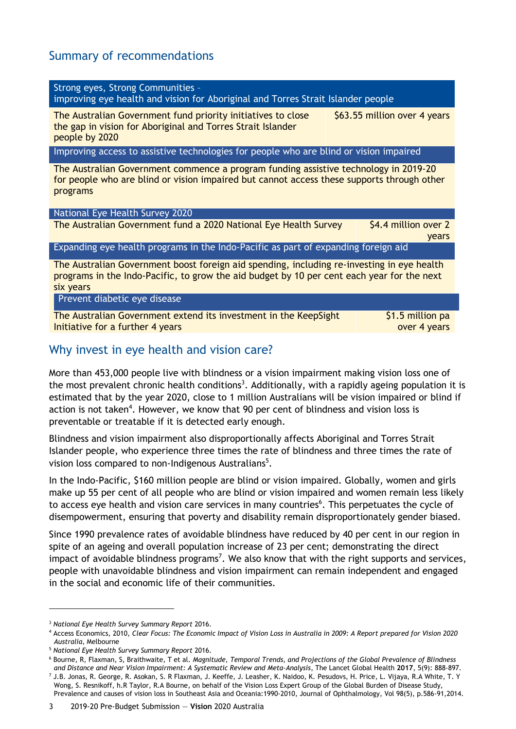# <span id="page-4-0"></span>Summary of recommendations

| Strong eyes, Strong Communities -<br>improving eye health and vision for Aboriginal and Torres Strait Islander people                                                                                 |                                  |  |
|-------------------------------------------------------------------------------------------------------------------------------------------------------------------------------------------------------|----------------------------------|--|
| The Australian Government fund priority initiatives to close<br>the gap in vision for Aboriginal and Torres Strait Islander<br>people by 2020                                                         | \$63.55 million over 4 years     |  |
| Improving access to assistive technologies for people who are blind or vision impaired                                                                                                                |                                  |  |
| The Australian Government commence a program funding assistive technology in 2019-20<br>for people who are blind or vision impaired but cannot access these supports through other<br>programs        |                                  |  |
| National Eye Health Survey 2020                                                                                                                                                                       |                                  |  |
| The Australian Government fund a 2020 National Eye Health Survey                                                                                                                                      | \$4.4 million over 2<br>years    |  |
| Expanding eye health programs in the Indo-Pacific as part of expanding foreign aid                                                                                                                    |                                  |  |
| The Australian Government boost foreign aid spending, including re-investing in eye health<br>programs in the Indo-Pacific, to grow the aid budget by 10 per cent each year for the next<br>six years |                                  |  |
| Prevent diabetic eye disease                                                                                                                                                                          |                                  |  |
| The Australian Government extend its investment in the KeepSight<br>Initiative for a further 4 years                                                                                                  | \$1.5 million pa<br>over 4 years |  |

## <span id="page-4-1"></span>Why invest in eye health and vision care?

More than 453,000 people live with blindness or a vision impairment making vision loss one of the most prevalent chronic health conditions<sup>3</sup>. Additionally, with a rapidly ageing population it is estimated that by the year 2020, close to 1 million Australians will be vision impaired or blind if action is not taken<sup>4</sup>. However, we know that 90 per cent of blindness and vision loss is preventable or treatable if it is detected early enough.

Blindness and vision impairment also disproportionally affects Aboriginal and Torres Strait Islander people, who experience three times the rate of blindness and three times the rate of vision loss compared to non-Indigenous Australians<sup>5</sup>.

In the Indo-Pacific, \$160 million people are blind or vision impaired. Globally, women and girls make up 55 per cent of all people who are blind or vision impaired and women remain less likely to access eye health and vision care services in many countries<sup>6</sup>. This perpetuates the cycle of disempowerment, ensuring that poverty and disability remain disproportionately gender biased.

Since 1990 prevalence rates of avoidable blindness have reduced by 40 per cent in our region in spite of an ageing and overall population increase of 23 per cent; demonstrating the direct impact of avoidable blindness programs<sup>7</sup>. We also know that with the right supports and services, people with unavoidable blindness and vision impairment can remain independent and engaged in the social and economic life of their communities.

<sup>3</sup> *National Eye Health Survey Summary Report* 2016.

<sup>4</sup> Access Economics, 2010, *Clear Focus: The Economic Impact of Vision Loss in Australia in 2009: A Report prepared for Vision 2020 Australia,* Melbourne

<sup>5</sup> *National Eye Health Survey Summary Report* 2016.

<sup>6</sup> Bourne, R, Flaxman, S, Braithwaite, T et al. *Magnitude, Temporal Trends, and Projections of the Global Prevalence of Blindness and Distance and Near Vision Impairment: A Systematic Review and Meta-Analysis*, [The Lancet Global Health](https://www.thelancet.com/journals/langlo/article/PIIS2214-109X(17)30293-0/fulltext) **2017**, 5(9): 888-897.

<sup>7</sup> J.B. Jonas, R. George, R. Asokan, S. R Flaxman, J. Keeffe, J. Leasher, K. Naidoo, K. Pesudovs, H. Price, L. Vijaya, R.A White, T. Y Wong, S. Resnikoff, h.R Taylor, R.A Bourne, on behalf of the Vision Loss Expert Group of the Global Burden of Disease Study, Prevalence and causes of vision loss in Southeast Asia and Oceania:1990-2010, Journal of Ophthalmology, Vol 98(5), p.586-91,2014.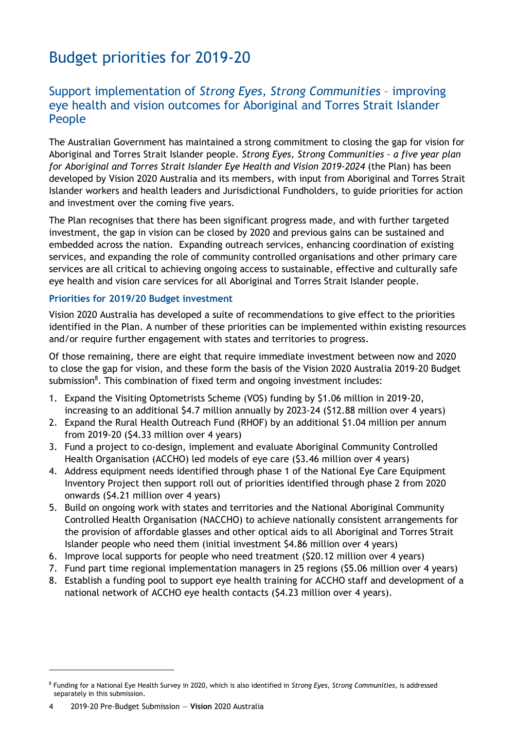# <span id="page-5-0"></span>Budget priorities for 2019-20

## <span id="page-5-1"></span>Support implementation of *Strong Eyes, Strong Communities* – improving eye health and vision outcomes for Aboriginal and Torres Strait Islander People

The Australian Government has maintained a strong commitment to closing the gap for vision for Aboriginal and Torres Strait Islander people. *Strong Eyes, Strong Communities – a five year plan for Aboriginal and Torres Strait Islander Eye Health and Vision 2019-2024* (the Plan) has been developed by Vision 2020 Australia and its members, with input from Aboriginal and Torres Strait Islander workers and health leaders and Jurisdictional Fundholders, to guide priorities for action and investment over the coming five years.

The Plan recognises that there has been significant progress made, and with further targeted investment, the gap in vision can be closed by 2020 and previous gains can be sustained and embedded across the nation. Expanding outreach services, enhancing coordination of existing services, and expanding the role of community controlled organisations and other primary care services are all critical to achieving ongoing access to sustainable, effective and culturally safe eye health and vision care services for all Aboriginal and Torres Strait Islander people.

#### **Priorities for 2019/20 Budget investment**

Vision 2020 Australia has developed a suite of recommendations to give effect to the priorities identified in the Plan. A number of these priorities can be implemented within existing resources and/or require further engagement with states and territories to progress.

Of those remaining, there are eight that require immediate investment between now and 2020 to close the gap for vision, and these form the basis of the Vision 2020 Australia 2019-20 Budget submission<sup>8</sup>. This combination of fixed term and ongoing investment includes:

- 1. Expand the Visiting Optometrists Scheme (VOS) funding by \$1.06 million in 2019-20, increasing to an additional \$4.7 million annually by 2023-24 (\$12.88 million over 4 years)
- 2. Expand the Rural Health Outreach Fund (RHOF) by an additional \$1.04 million per annum from 2019-20 (\$4.33 million over 4 years)
- 3. Fund a project to co-design, implement and evaluate Aboriginal Community Controlled Health Organisation (ACCHO) led models of eye care (\$3.46 million over 4 years)
- 4. Address equipment needs identified through phase 1 of the National Eye Care Equipment Inventory Project then support roll out of priorities identified through phase 2 from 2020 onwards (\$4.21 million over 4 years)
- 5. Build on ongoing work with states and territories and the National Aboriginal Community Controlled Health Organisation (NACCHO) to achieve nationally consistent arrangements for the provision of affordable glasses and other optical aids to all Aboriginal and Torres Strait Islander people who need them (initial investment \$4.86 million over 4 years)
- 6. Improve local supports for people who need treatment (\$20.12 million over 4 years)
- 7. Fund part time regional implementation managers in 25 regions (\$5.06 million over 4 years)
- 8. Establish a funding pool to support eye health training for ACCHO staff and development of a national network of ACCHO eye health contacts (\$4.23 million over 4 years).

<sup>8</sup> Funding for a National Eye Health Survey in 2020, which is also identified in *Strong Eyes, Strong Communities*, is addressed separately in this submission.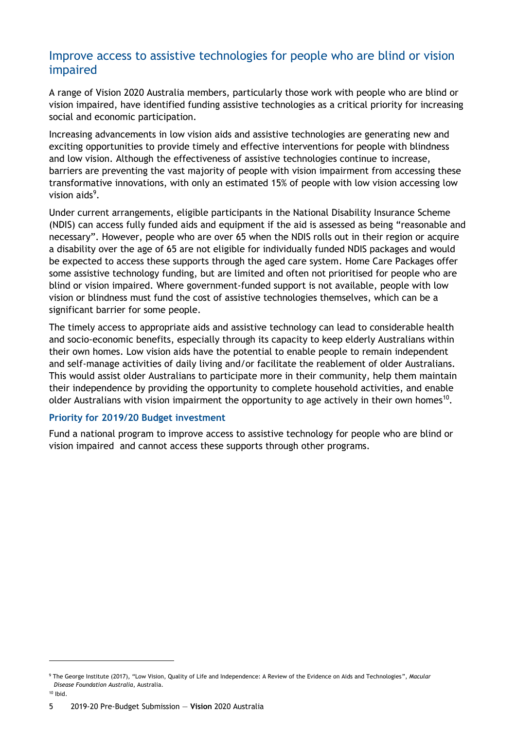## <span id="page-6-0"></span>Improve access to assistive technologies for people who are blind or vision impaired

A range of Vision 2020 Australia members, particularly those work with people who are blind or vision impaired, have identified funding assistive technologies as a critical priority for increasing social and economic participation.

Increasing advancements in low vision aids and assistive technologies are generating new and exciting opportunities to provide timely and effective interventions for people with blindness and low vision. Although the effectiveness of assistive technologies continue to increase, barriers are preventing the vast majority of people with vision impairment from accessing these transformative innovations, with only an estimated 15% of people with low vision accessing low vision aids<sup>9</sup>.

Under current arrangements, eligible participants in the National Disability Insurance Scheme (NDIS) can access fully funded aids and equipment if the aid is assessed as being "reasonable and necessary". However, people who are over 65 when the NDIS rolls out in their region or acquire a disability over the age of 65 are not eligible for individually funded NDIS packages and would be expected to access these supports through the aged care system. Home Care Packages offer some assistive technology funding, but are limited and often not prioritised for people who are blind or vision impaired. Where government-funded support is not available, people with low vision or blindness must fund the cost of assistive technologies themselves, which can be a significant barrier for some people.

The timely access to appropriate aids and assistive technology can lead to considerable health and socio-economic benefits, especially through its capacity to keep elderly Australians within their own homes. Low vision aids have the potential to enable people to remain independent and self-manage activities of daily living and/or facilitate the reablement of older Australians. This would assist older Australians to participate more in their community, help them maintain their independence by providing the opportunity to complete household activities, and enable older Australians with vision impairment the opportunity to age actively in their own homes<sup>10</sup>.

#### **Priority for 2019/20 Budget investment**

Fund a national program to improve access to assistive technology for people who are blind or vision impaired and cannot access these supports through other programs.

<sup>9</sup> The George Institute (2017), "Low Vision, Quality of Life and Independence: A Review of the Evidence on Aids and Technologies", *Macular Disease Foundation Australia*, Australia.

 $10$  Ibid.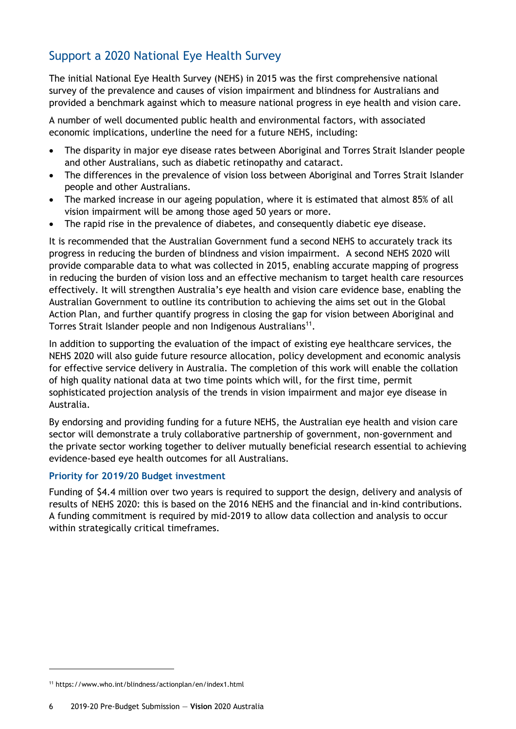# <span id="page-7-0"></span>Support a 2020 National Eye Health Survey

The initial National Eye Health Survey (NEHS) in 2015 was the first comprehensive national survey of the prevalence and causes of vision impairment and blindness for Australians and provided a benchmark against which to measure national progress in eye health and vision care.

A number of well documented public health and environmental factors, with associated economic implications, underline the need for a future NEHS, including:

- The disparity in major eye disease rates between Aboriginal and Torres Strait Islander people and other Australians, such as diabetic retinopathy and cataract.
- The differences in the prevalence of vision loss between Aboriginal and Torres Strait Islander people and other Australians.
- The marked increase in our ageing population, where it is estimated that almost 85% of all vision impairment will be among those aged 50 years or more.
- The rapid rise in the prevalence of diabetes, and consequently diabetic eye disease.

It is recommended that the Australian Government fund a second NEHS to accurately track its progress in reducing the burden of blindness and vision impairment. A second NEHS 2020 will provide comparable data to what was collected in 2015, enabling accurate mapping of progress in reducing the burden of vision loss and an effective mechanism to target health care resources effectively. It will strengthen Australia's eye health and vision care evidence base, enabling the Australian Government to outline its contribution to achieving the aims set out in the Global Action Plan, and further quantify progress in closing the gap for vision between Aboriginal and Torres Strait Islander people and non Indigenous Australians<sup>11</sup>.

In addition to supporting the evaluation of the impact of existing eye healthcare services, the NEHS 2020 will also guide future resource allocation, policy development and economic analysis for effective service delivery in Australia. The completion of this work will enable the collation of high quality national data at two time points which will, for the first time, permit sophisticated projection analysis of the trends in vision impairment and major eye disease in Australia.

By endorsing and providing funding for a future NEHS, the Australian eye health and vision care sector will demonstrate a truly collaborative partnership of government, non-government and the private sector working together to deliver mutually beneficial research essential to achieving evidence-based eye health outcomes for all Australians.

#### **Priority for 2019/20 Budget investment**

Funding of \$4.4 million over two years is required to support the design, delivery and analysis of results of NEHS 2020: this is based on the 2016 NEHS and the financial and in-kind contributions. A funding commitment is required by mid-2019 to allow data collection and analysis to occur within strategically critical timeframes.

<sup>11</sup> <https://www.who.int/blindness/actionplan/en/index1.html>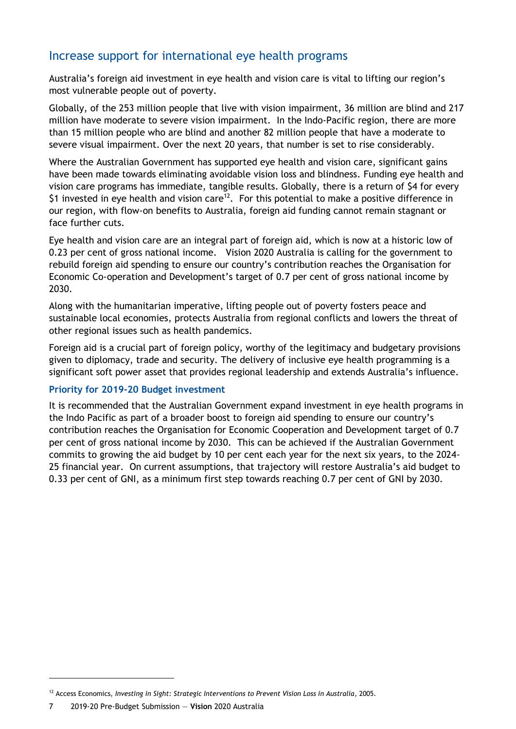# <span id="page-8-0"></span>Increase support for international eye health programs

Australia's foreign aid investment in eye health and vision care is vital to lifting our region's most vulnerable people out of poverty.

Globally, of the 253 million people that live with vision impairment, 36 million are blind and 217 million have moderate to severe vision impairment. In the Indo-Pacific region, there are more than 15 million people who are blind and another 82 million people that have a moderate to severe visual impairment. Over the next 20 years, that number is set to rise considerably.

Where the Australian Government has supported eye health and vision care, significant gains have been made towards eliminating avoidable vision loss and blindness. Funding eye health and vision care programs has immediate, tangible results. Globally, there is a return of \$4 for every \$1 invested in eye health and vision care<sup>12</sup>. For this potential to make a positive difference in our region, with flow-on benefits to Australia, foreign aid funding cannot remain stagnant or face further cuts.

Eye health and vision care are an integral part of foreign aid, which is now at a historic low of 0.23 per cent of gross national income. Vision 2020 Australia is calling for the government to rebuild foreign aid spending to ensure our country's contribution reaches the Organisation for Economic Co-operation and Development's target of 0.7 per cent of gross national income by 2030.

Along with the humanitarian imperative, lifting people out of poverty fosters peace and sustainable local economies, protects Australia from regional conflicts and lowers the threat of other regional issues such as health pandemics.

Foreign aid is a crucial part of foreign policy, worthy of the legitimacy and budgetary provisions given to diplomacy, trade and security. The delivery of inclusive eye health programming is a significant soft power asset that provides regional leadership and extends Australia's influence.

#### **Priority for 2019-20 Budget investment**

It is recommended that the Australian Government expand investment in eye health programs in the Indo Pacific as part of a broader boost to foreign aid spending to ensure our country's contribution reaches the Organisation for Economic Cooperation and Development target of 0.7 per cent of gross national income by 2030. This can be achieved if the Australian Government commits to growing the aid budget by 10 per cent each year for the next six years, to the 2024- 25 financial year. On current assumptions, that trajectory will restore Australia's aid budget to 0.33 per cent of GNI, as a minimum first step towards reaching 0.7 per cent of GNI by 2030.

<sup>&</sup>lt;sup>12</sup> Access Economics, *Investing in Sight: Strategic Interventions to Prevent Vision Loss in Australia, 2005.* 

<sup>7</sup> 2019-20 Pre-Budget Submission — **Vision** 2020 Australia